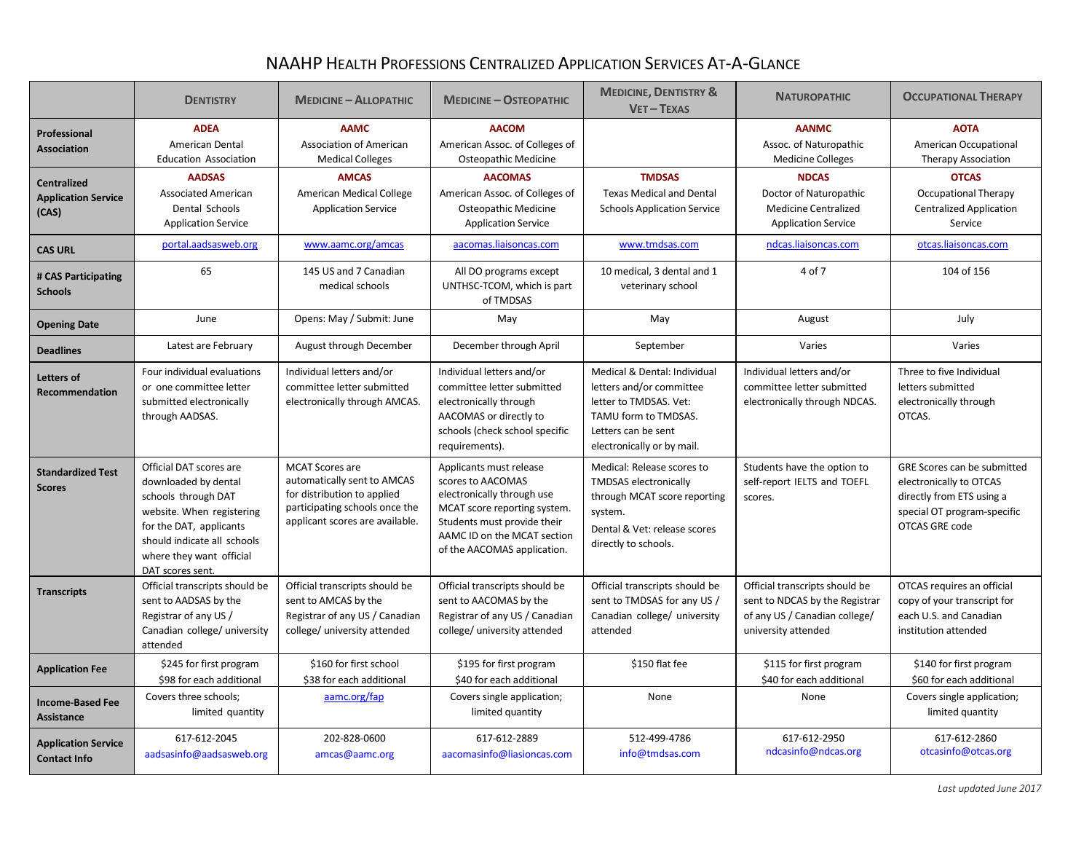## NAAHP HEALTH PROFESSIONS CENTRALIZED APPLICATION SERVICES AT-A-GLANCE

|                                                           | <b>DENTISTRY</b>                                                                                                                                                                                              | <b>MEDICINE - ALLOPATHIC</b>                                                                                                                              | <b>MEDICINE - OSTEOPATHIC</b>                                                                                                                                                                           | <b>MEDICINE, DENTISTRY &amp;</b><br>$VET - TEXAS$                                                                                                               | <b>NATUROPATHIC</b>                                                                                                      | <b>OCCUPATIONAL THERAPY</b>                                                                                                                 |
|-----------------------------------------------------------|---------------------------------------------------------------------------------------------------------------------------------------------------------------------------------------------------------------|-----------------------------------------------------------------------------------------------------------------------------------------------------------|---------------------------------------------------------------------------------------------------------------------------------------------------------------------------------------------------------|-----------------------------------------------------------------------------------------------------------------------------------------------------------------|--------------------------------------------------------------------------------------------------------------------------|---------------------------------------------------------------------------------------------------------------------------------------------|
| Professional<br><b>Association</b>                        | <b>ADEA</b><br>American Dental<br><b>Education Association</b>                                                                                                                                                | <b>AAMC</b><br><b>Association of American</b><br><b>Medical Colleges</b>                                                                                  | <b>AACOM</b><br>American Assoc. of Colleges of<br>Osteopathic Medicine                                                                                                                                  |                                                                                                                                                                 | <b>AANMC</b><br>Assoc. of Naturopathic<br><b>Medicine Colleges</b>                                                       | <b>AOTA</b><br>American Occupational<br><b>Therapy Association</b>                                                                          |
| <b>Centralized</b><br><b>Application Service</b><br>(CAS) | <b>AADSAS</b><br><b>Associated American</b><br>Dental Schools<br><b>Application Service</b>                                                                                                                   | <b>AMCAS</b><br>American Medical College<br><b>Application Service</b>                                                                                    | <b>AACOMAS</b><br>American Assoc. of Colleges of<br>Osteopathic Medicine<br><b>Application Service</b>                                                                                                  | <b>TMDSAS</b><br><b>Texas Medical and Dental</b><br><b>Schools Application Service</b>                                                                          | <b>NDCAS</b><br>Doctor of Naturopathic<br><b>Medicine Centralized</b><br><b>Application Service</b>                      | <b>OTCAS</b><br><b>Occupational Therapy</b><br><b>Centralized Application</b><br>Service                                                    |
| <b>CAS URL</b>                                            | portal.aadsasweb.org                                                                                                                                                                                          | www.aamc.org/amcas                                                                                                                                        | aacomas.liaisoncas.com                                                                                                                                                                                  | www.tmdsas.com                                                                                                                                                  | ndcas.liaisoncas.com                                                                                                     | otcas.liaisoncas.com                                                                                                                        |
| # CAS Participating<br><b>Schools</b>                     | 65                                                                                                                                                                                                            | 145 US and 7 Canadian<br>medical schools                                                                                                                  | All DO programs except<br>UNTHSC-TCOM, which is part<br>of TMDSAS                                                                                                                                       | 10 medical, 3 dental and 1<br>veterinary school                                                                                                                 | 4 of 7                                                                                                                   | 104 of 156                                                                                                                                  |
| <b>Opening Date</b>                                       | June                                                                                                                                                                                                          | Opens: May / Submit: June                                                                                                                                 | May                                                                                                                                                                                                     | May                                                                                                                                                             | August                                                                                                                   | July                                                                                                                                        |
| <b>Deadlines</b>                                          | Latest are February                                                                                                                                                                                           | August through December                                                                                                                                   | December through April                                                                                                                                                                                  | September                                                                                                                                                       | Varies                                                                                                                   | Varies                                                                                                                                      |
| Letters of<br>Recommendation                              | Four individual evaluations<br>or one committee letter<br>submitted electronically<br>through AADSAS.                                                                                                         | Individual letters and/or<br>committee letter submitted<br>electronically through AMCAS.                                                                  | Individual letters and/or<br>committee letter submitted<br>electronically through<br>AACOMAS or directly to<br>schools (check school specific<br>requirements).                                         | Medical & Dental: Individual<br>letters and/or committee<br>letter to TMDSAS. Vet:<br>TAMU form to TMDSAS.<br>Letters can be sent<br>electronically or by mail. | Individual letters and/or<br>committee letter submitted<br>electronically through NDCAS.                                 | Three to five Individual<br>letters submitted<br>electronically through<br>OTCAS.                                                           |
| <b>Standardized Test</b><br><b>Scores</b>                 | Official DAT scores are<br>downloaded by dental<br>schools through DAT<br>website. When registering<br>for the DAT, applicants<br>should indicate all schools<br>where they want official<br>DAT scores sent. | <b>MCAT Scores are</b><br>automatically sent to AMCAS<br>for distribution to applied<br>participating schools once the<br>applicant scores are available. | Applicants must release<br>scores to AACOMAS<br>electronically through use<br>MCAT score reporting system.<br>Students must provide their<br>AAMC ID on the MCAT section<br>of the AACOMAS application. | Medical: Release scores to<br><b>TMDSAS</b> electronically<br>through MCAT score reporting<br>system.<br>Dental & Vet: release scores<br>directly to schools.   | Students have the option to<br>self-report IELTS and TOEFL<br>scores.                                                    | GRE Scores can be submitted<br>electronically to OTCAS<br>directly from ETS using a<br>special OT program-specific<br><b>OTCAS GRE code</b> |
| <b>Transcripts</b>                                        | Official transcripts should be<br>sent to AADSAS by the<br>Registrar of any US /<br>Canadian college/ university<br>attended                                                                                  | Official transcripts should be<br>sent to AMCAS by the<br>Registrar of any US / Canadian<br>college/ university attended                                  | Official transcripts should be<br>sent to AACOMAS by the<br>Registrar of any US / Canadian<br>college/ university attended                                                                              | Official transcripts should be<br>sent to TMDSAS for any US /<br>Canadian college/ university<br>attended                                                       | Official transcripts should be<br>sent to NDCAS by the Registrar<br>of any US / Canadian college/<br>university attended | OTCAS requires an official<br>copy of your transcript for<br>each U.S. and Canadian<br>institution attended                                 |
| <b>Application Fee</b>                                    | \$245 for first program<br>\$98 for each additional                                                                                                                                                           | \$160 for first school<br>\$38 for each additional                                                                                                        | \$195 for first program<br>\$40 for each additional                                                                                                                                                     | \$150 flat fee                                                                                                                                                  | \$115 for first program<br>\$40 for each additional                                                                      | \$140 for first program<br>\$60 for each additional                                                                                         |
| <b>Income-Based Fee</b><br>Assistance                     | Covers three schools;<br>limited quantity                                                                                                                                                                     | aamc.org/fap                                                                                                                                              | Covers single application;<br>limited quantity                                                                                                                                                          | None                                                                                                                                                            | None                                                                                                                     | Covers single application;<br>limited quantity                                                                                              |
| <b>Application Service</b><br><b>Contact Info</b>         | 617-612-2045<br>aadsasinfo@aadsasweb.org                                                                                                                                                                      | 202-828-0600<br>amcas@aamc.org                                                                                                                            | 617-612-2889<br>aacomasinfo@liasioncas.com                                                                                                                                                              | 512-499-4786<br>info@tmdsas.com                                                                                                                                 | 617-612-2950<br>ndcasinfo@ndcas.org                                                                                      | 617-612-2860<br>otcasinfo@otcas.org                                                                                                         |